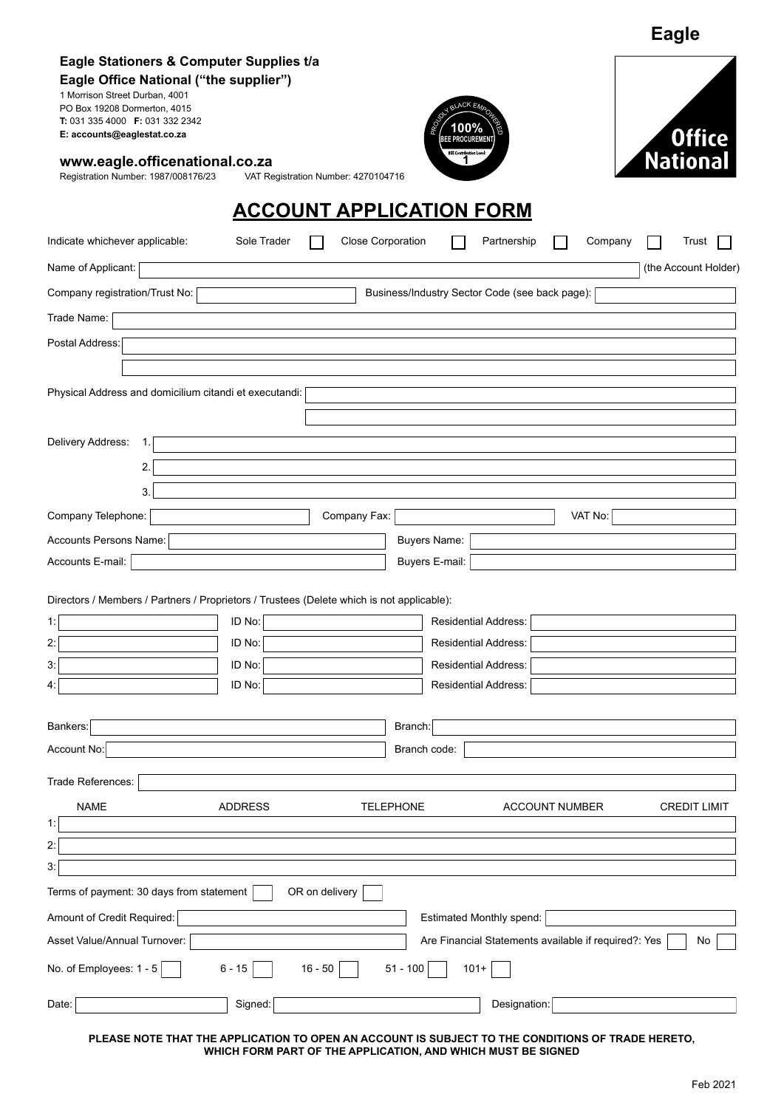| Eagle Stationers & Computer Supplies t/a<br>Eagle Office National ("the supplier")<br>1 Morrison Street Durban, 4001<br>PO Box 19208 Dormerton, 4015<br>T: 031 335 4000 F: 031 332 2342<br>E: accounts@eaglestat.co.za |                                     |                          | BLACK EM<br><b>PROCUPEMEN</b>  |                                                      |         | <b>Office</b>        |
|------------------------------------------------------------------------------------------------------------------------------------------------------------------------------------------------------------------------|-------------------------------------|--------------------------|--------------------------------|------------------------------------------------------|---------|----------------------|
| www.eagle.officenational.co.za<br>Registration Number: 1987/008176/23                                                                                                                                                  | VAT Registration Number: 4270104716 |                          | <b>BEE Contribution Lever:</b> |                                                      |         | <b>National</b>      |
|                                                                                                                                                                                                                        | <b>ACCOUNT APPLICATION FORM</b>     |                          |                                |                                                      |         |                      |
| Indicate whichever applicable:                                                                                                                                                                                         | Sole Trader                         | <b>Close Corporation</b> |                                | Partnership                                          | Company | Trust                |
| Name of Applicant:                                                                                                                                                                                                     |                                     |                          |                                |                                                      |         | (the Account Holder) |
| Company registration/Trust No:                                                                                                                                                                                         |                                     |                          |                                | Business/Industry Sector Code (see back page):       |         |                      |
| Trade Name:                                                                                                                                                                                                            |                                     |                          |                                |                                                      |         |                      |
| Postal Address:                                                                                                                                                                                                        |                                     |                          |                                |                                                      |         |                      |
|                                                                                                                                                                                                                        |                                     |                          |                                |                                                      |         |                      |
| Physical Address and domicilium citandi et executandi:                                                                                                                                                                 |                                     |                          |                                |                                                      |         |                      |
| Delivery Address:<br>1.                                                                                                                                                                                                |                                     |                          |                                |                                                      |         |                      |
| 2.                                                                                                                                                                                                                     |                                     |                          |                                |                                                      |         |                      |
| 3.                                                                                                                                                                                                                     |                                     |                          |                                |                                                      |         |                      |
| Company Telephone:                                                                                                                                                                                                     |                                     | Company Fax:             |                                |                                                      | VAT No: |                      |
| Accounts Persons Name:                                                                                                                                                                                                 |                                     |                          | <b>Buyers Name:</b>            |                                                      |         |                      |
| Accounts E-mail:                                                                                                                                                                                                       |                                     |                          | Buyers E-mail:                 |                                                      |         |                      |
|                                                                                                                                                                                                                        |                                     |                          |                                |                                                      |         |                      |
| Directors / Members / Partners / Proprietors / Trustees (Delete which is not applicable):                                                                                                                              |                                     |                          |                                |                                                      |         |                      |
| 1:                                                                                                                                                                                                                     | ID No:                              |                          | Residential Address:           |                                                      |         |                      |
| 2:                                                                                                                                                                                                                     | ID No:                              |                          | <b>Residential Address:</b>    |                                                      |         |                      |
| 3:                                                                                                                                                                                                                     | ID No:                              |                          | <b>Residential Address:</b>    |                                                      |         |                      |
| 4:                                                                                                                                                                                                                     | ID No:                              |                          | <b>Residential Address:</b>    |                                                      |         |                      |
| Bankers:                                                                                                                                                                                                               |                                     | Branch:                  |                                |                                                      |         |                      |
| Account No:                                                                                                                                                                                                            |                                     | Branch code:             |                                |                                                      |         |                      |
|                                                                                                                                                                                                                        |                                     |                          |                                |                                                      |         |                      |
| Trade References:                                                                                                                                                                                                      |                                     |                          |                                |                                                      |         |                      |
| <b>NAME</b>                                                                                                                                                                                                            | <b>ADDRESS</b>                      | <b>TELEPHONE</b>         |                                | <b>ACCOUNT NUMBER</b>                                |         | <b>CREDIT LIMIT</b>  |
| 1:                                                                                                                                                                                                                     |                                     |                          |                                |                                                      |         |                      |
| 2:                                                                                                                                                                                                                     |                                     |                          |                                |                                                      |         |                      |
| 3:                                                                                                                                                                                                                     |                                     |                          |                                |                                                      |         |                      |
| Terms of payment: 30 days from statement                                                                                                                                                                               | OR on delivery                      |                          |                                |                                                      |         |                      |
| Amount of Credit Required:                                                                                                                                                                                             |                                     |                          |                                | <b>Estimated Monthly spend:</b>                      |         |                      |
| Asset Value/Annual Turnover:                                                                                                                                                                                           |                                     |                          |                                | Are Financial Statements available if required?: Yes |         | No                   |
| No. of Employees: 1 - 5                                                                                                                                                                                                | $6 - 15$<br>$16 - 50$               | $51 - 100$               | $101+$                         |                                                      |         |                      |
| Date:                                                                                                                                                                                                                  | Signed:                             |                          |                                | Designation:                                         |         |                      |

**PLEASE NOTE THAT THE APPLICATION TO OPEN AN ACCOUNT IS SUBJECT TO THE CONDITIONS OF TRADE HERETO, WHICH FORM PART OF THE APPLICATION, AND WHICH MUST BE SIGNED**

**Eagle**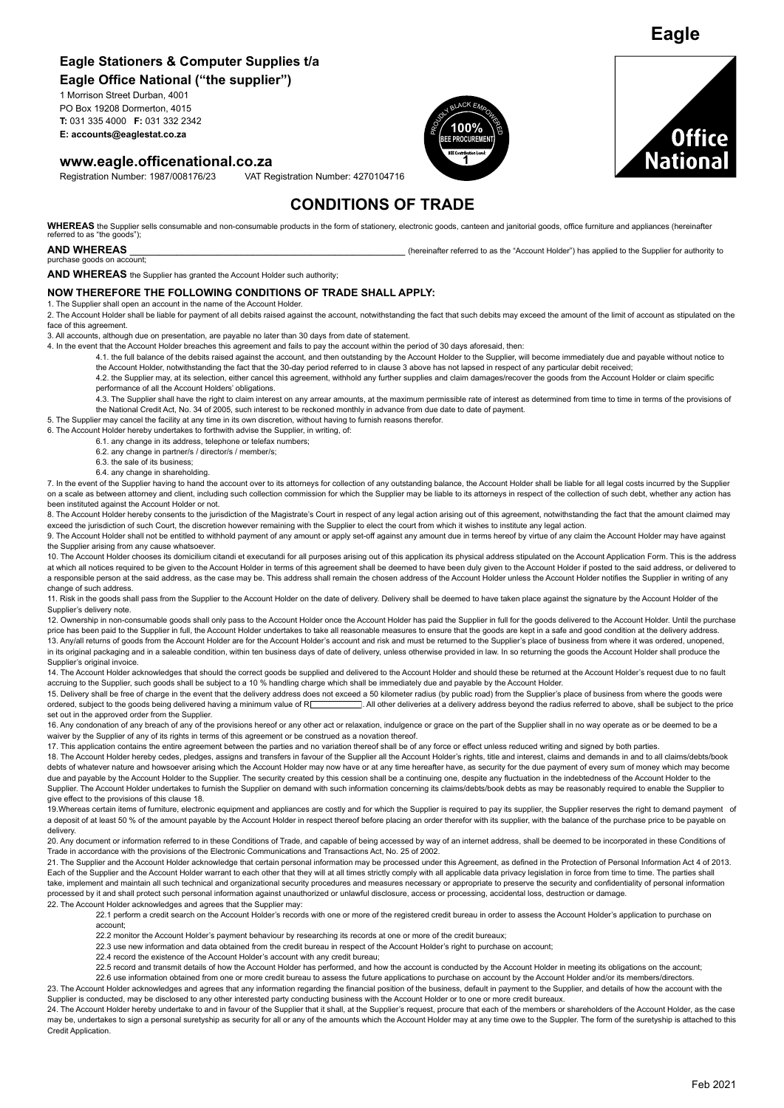# **Eagle Stationers & Computer Supplies t/a**

**Eagle Office National ("the supplier")**

1 Morrison Street Durban, 4001 PO Box 19208 Dormerton, 4015 **T:** 031 335 4000 **F:** 031 332 2342 **PO Box 19208 Dormerton, 4015**<br>**T:** 031 335 4000 **F**: 031 332 2342<br>**E: accounts@eaglestat.co.za** PROUDLY BLACK EXPOWERENT

**www.eagle.officenational.co.za**

Registration Number: 1987/008176/23 VAT Registration Number: 4270104716





**Eagle**

# **CONDITIONS OF TRADE**

WHEREAS the Supplier sells consumable and non-consumable products in the form of stationery, electronic goods, canteen and ianitorial goods, office furniture and appliances (hereinafter referred to as "the goods")

#### **AND WHEREAS EXECUTE AS** *AND WHEREAS CONDITED AS A COUNTER THE SUPPLIER TO AUTHORITY TO AUTHORITY TO AUTHORITY TO AUTHORITY TO AUTHORITY TO AUTHORITY TO AUTHORITY TO AUTHORITY TO AUTHORITY TO AUTHORITY TO AUTHORITY*

purchase goods on account;

**AND WHEREAS** the Supplier has granted the Account Holder such authority;

#### **NOW THEREFORE THE FOLLOWING CONDITIONS OF TRADE SHALL APPLY:**

1. The Supplier shall open an account in the name of the Account Holder.

2. The Account Holder shall be liable for payment of all debits raised against the account, notwithstanding the fact that such debits may exceed the amount of the limit of account as stipulated on the face of this agreement.

3. All accounts, although due on presentation, are payable no later than 30 days from date of statement.

4. In the event that the Account Holder breaches this agreement and fails to pay the account within the period of 30 days aforesaid, then:

4.1. the full balance of the debits raised against the account, and then outstanding by the Account Holder to the Supplier, will become immediately due and payable without notice to the Account Holder, notwithstanding the fact that the 30-day period referred to in clause 3 above has not lapsed in respect of any particular debit received

4.2. the Supplier may, at its selection, either cancel this agreement, withhold any further supplies and claim damages/recover the goods from the Account Holder or claim specific performance of all the Account Holders' obligations.

4.3. The Supplier shall have the right to claim interest on any arrear amounts, at the maximum permissible rate of interest as determined from time to time in terms of the provisions of the National Credit Act, No. 34 of 2005, such interest to be reckoned monthly in advance from due date to date of payment.

5. The Supplier may cancel the facility at any time in its own discretion, without having to furnish reasons therefor.

6. The Account Holder hereby undertakes to forthwith advise the Supplier, in writing, of:

6.1. any change in its address, telephone or telefax numbers;

- 6.2. any change in partner/s / director/s / member/s;
- 6.3. the sale of its business;
- 6.4. any change in shareholding.

7. In the event of the Supplier having to hand the account over to its attorneys for collection of any outstanding balance, the Account Holder shall be liable for all legal costs incurred by the Supplier on a scale as between attorney and client, including such collection commission for which the Supplier may be liable to its attorneys in respect of the collection of such debt, whether any action has been instituted against the Account Holder or not.

8. The Account Holder hereby consents to the jurisdiction of the Magistrate's Court in respect of any legal action arising out of this agreement, notwithstanding the fact that the amount claimed may exceed the jurisdiction of such Court, the discretion however remaining with the Supplier to elect the court from which it wishes to institute any legal action.

9. The Account Holder shall not be entitled to withhold payment of any amount or apply set-off against any amount due in terms hereof by virtue of any claim the Account Holder may have against the Supplier arising from any cause whatsoever.

10. The Account Holder chooses its domicilium citandi et executandi for all purposes arising out of this application its physical address stipulated on the Account Application Form. This is the address at which all notices required to be given to the Account Holder in terms of this agreement shall be deemed to have been duly given to the Account Holder if posted to the said address, or delivered to a responsible person at the said address, as the case may be. This address shall remain the chosen address of the Account Holder unless the Account Holder notifies the Supplier in writing of any change of such address.

11. Risk in the goods shall pass from the Supplier to the Account Holder on the date of delivery. Delivery shall be deemed to have taken place against the signature by the Account Holder of the Supplier's delivery note.

12. Ownership in non-consumable goods shall only pass to the Account Holder once the Account Holder has paid the Supplier in full for the goods delivered to the Account Holder. Until the purchase price has been paid to the Supplier in full, the Account Holder undertakes to take all reasonable measures to ensure that the goods are kept in a safe and good condition at the delivery address. 13. Any/all returns of goods from the Account Holder are for the Account Holder's account and risk and must be returned to the Supplier's place of business from where it was ordered, unopened, in its original packaging and in a saleable condition, within ten business days of date of delivery, unless otherwise provided in law. In so returning the goods the Account Holder shall produce the Supplier's original invoice.

14. The Account Holder acknowledges that should the correct goods be supplied and delivered to the Account Holder and should these be returned at the Account Holder's request due to no fault accruing to the Supplier, such goods shall be subject to a 10 % handling charge which shall be immediately due and payable by the Account Holder.

15. Delivery shall be free of charge in the event that the delivery address does not exceed a 50 kilometer radius (by public road) from the Supplier's place of business from where the goods were ordered, subject to the goo  $\Box$ . All other deliveries at a delivery address beyond the radius referred to above, shall be subject to the price set out in the approved order from the Supplier.

16. Any condonation of any breach of any of the provisions hereof or any other act or relaxation, indulgence or grace on the part of the Supplier shall in no way operate as or be deemed to be a waiver by the Supplier of any of its rights in terms of this agreement or be construed as a novation thereof.

17. This application contains the entire agreement between the parties and no variation thereof shall be of any force or effect unless reduced writing and signed by both parties.

18. The Account Holder hereby cedes, pledges, assigns and transfers in favour of the Supplier all the Account Holder's rights, title and interest, claims and demands in and to all claims/debts/book debts of whatever nature and howsoever arising which the Account Holder may now have or at any time hereafter have, as security for the due payment of every sum of money which may become due and payable by the Account Holder to the Supplier. The security created by this cession shall be a continuing one, despite any fluctuation in the indebtedness of the Account Holder to the Supplier. The Account Holder undertakes to furnish the Supplier on demand with such information concerning its claims/debts/book debts as may be reasonably required to enable the Supplier to give effect to the provisions of this clause 18.

19. Whereas certain items of furniture, electronic equipment and appliances are costly and for which the Supplier is required to pay its supplier, the Supplier reserves the right to demand payment of a deposit of at least 50 % of the amount payable by the Account Holder in respect thereof before placing an order therefor with its supplier, with the balance of the purchase price to be payable on delivery.

20. Any document or information referred to in these Conditions of Trade, and capable of being accessed by way of an internet address, shall be deemed to be incorporated in these Conditions of Trade in accordance with the provisions of the Electronic Communications and Transactions Act, No. 25 of 2002.

21. The Supplier and the Account Holder acknowledge that certain personal information may be processed under this Agreement, as defined in the Protection of Personal Information Act 4 of 2013. Each of the Supplier and the Account Holder warrant to each other that they will at all times strictly comply with all applicable data privacy legislation in force from time to time. The parties shall take, implement and maintain all such technical and organizational security procedures and measures necessary or appropriate to preserve the security and confidentiality of personal information processed by it and shall protect such personal information against unauthorized or unlawful disclosure, access or processing, accidental loss, destruction or damage. 22. The Account Holder acknowledges and agrees that the Supplier may:

22.1 perform a credit search on the Account Holder's records with one or more of the registered credit bureau in order to assess the Account Holder's application to purchase on account;

22.2 monitor the Account Holder's payment behaviour by researching its records at one or more of the credit bureaux;

22.3 use new information and data obtained from the credit bureau in respect of the Account Holder's right to purchase on account;

22.4 record the existence of the Account Holder's account with any credit bureau;

22.5 record and transmit details of how the Account Holder has performed, and how the account is conducted by the Account Holder in meeting its obligations on the account;

22.6 use information obtained from one or more credit bureau to assess the future applications to purchase on account by the Account Holder and/or its members/directors 23. The Account Holder acknowledges and agrees that any information regarding the financial position of the business, default in payment to the Supplier, and details of how the account with the Supplier is conducted, may be disclosed to any other interested party conducting business with the Account Holder or to one or more credit bureaux.

24. The Account Holder hereby undertake to and in favour of the Supplier that it shall, at the Supplier's request, procure that each of the members or shareholders of the Account Holder, as the case may be, undertakes to sign a personal suretyship as security for all or any of the amounts which the Account Holder may at any time owe to the Suppler. The form of the suretyship is attached to this Credit Application.

Feb 2021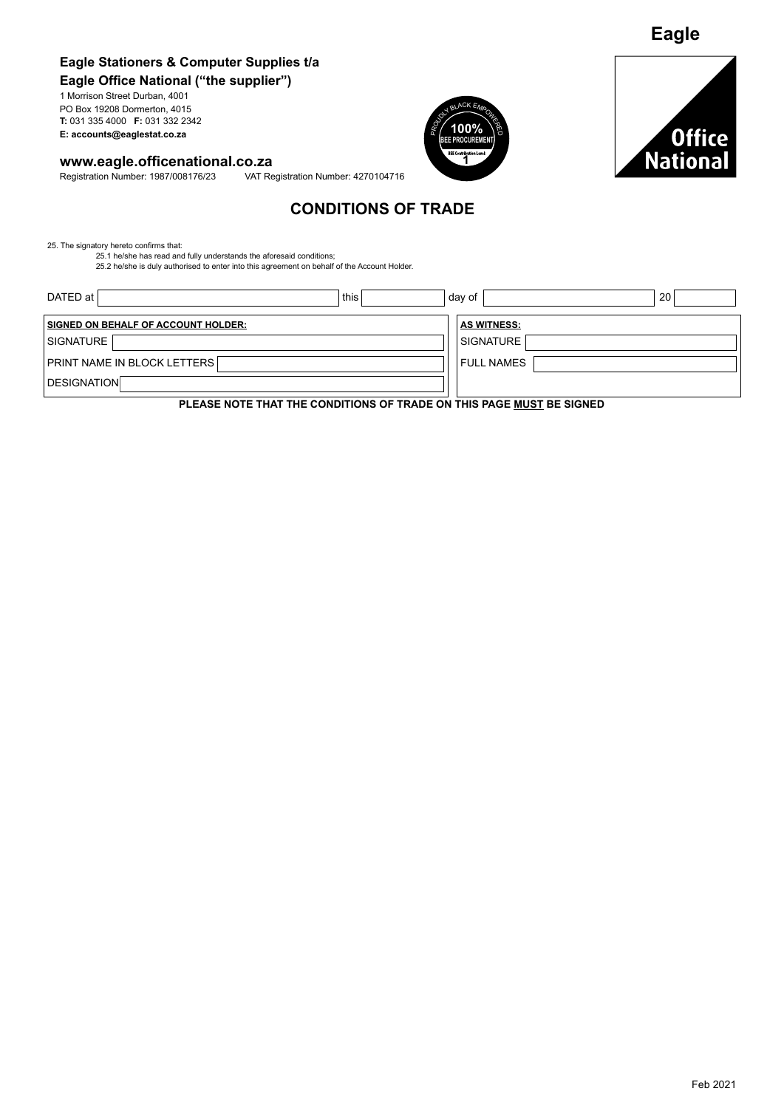# **Eagle Stationers & Computer Supplies t/a Eagle Office National ("the supplier")**

1 Morrison Street Durban, 4001 PO Box 19208 Dormerton, 4015 **T:** 031 335 4000 **F:** 031 332 2342 **PO Box 19208 Dormerton, 4015**<br>**T:** 031 335 4000 **F**: 031 332 2342<br>**E: accounts@eaglestat.co.za** PROUDLY BLACK EXPOWERENT

**www.eagle.officenational.co.za**<br>Registration Number: 1987/008176/23 VAT Re VAT Registration Number: 4270104716





**Eagle**

# **CONDITIONS OF TRADE**

25. The signatory hereto confirms that: 25.1 he/she has read and fully understands the aforesaid conditions; 25.2 he/she is duly authorised to enter into this agreement on behalf of the Account Holder.

DATED at SIGNATURE SIGNATURE PRINT NAME IN BLOCK LETTERS FULL NAMES DESIGNATION **SIGNED ON BEHALF OF ACCOUNT HOLDER: AS WITNESS: AS WITNESS:** this  $\vert$  day of  $\vert$  20

**PLEASE NOTE THAT THE CONDITIONS OF TRADE ON THIS PAGE MUST BE SIGNED**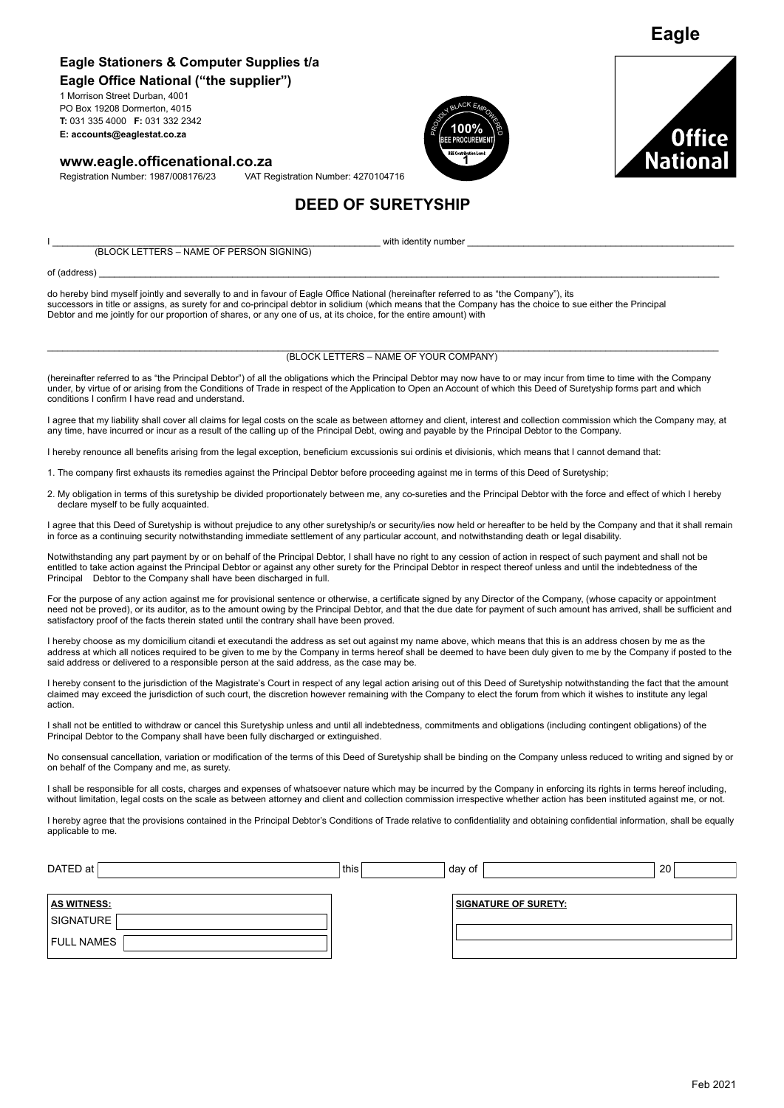### **Eagle Stationers & Computer Supplies t/a Eagle Office National ("the supplier")**

1 Morrison Street Durban, 4001 PO Box 19208 Dormerton, 4015 **T:** 031 335 4000 **F:** 031 332 2342 **PO Box 19208 Dormerton, 4015**<br>**T:** 031 335 4000 **F**: 031 332 2342<br>**E: accounts@eaglestat.co.za** PROUDLY BLACK EXPOWERENT

### **www.eagle.officenational.co.za**

Registration Number: 1987/008176/23 VAT Registration Number: 4270104716





**Eagle**

# **DEED OF SURETYSHIP**

I \_\_\_\_\_\_\_\_\_\_\_\_\_\_\_\_\_\_\_\_\_\_\_\_\_\_\_\_\_\_\_\_\_\_\_\_\_\_\_\_\_\_\_\_\_\_\_\_\_\_\_\_\_\_\_\_\_\_\_\_\_\_\_\_ with identity number \_\_\_\_\_\_\_\_\_\_\_\_\_\_\_\_\_\_\_\_\_\_\_\_\_\_\_\_\_\_\_\_\_\_\_\_\_\_\_\_\_\_\_\_\_\_\_\_\_\_\_\_ (BLOCK LETTERS – NAME OF PERSON SIGNING)

of (address) \_\_\_\_\_\_\_\_\_\_\_\_\_\_\_\_\_\_\_\_\_\_\_\_\_\_\_\_\_\_\_\_\_\_\_\_\_\_\_\_\_\_\_\_\_\_\_\_\_\_\_\_\_\_\_\_\_\_\_\_\_\_\_\_\_\_\_\_\_\_\_\_\_\_\_\_\_\_\_\_\_\_\_\_\_\_\_\_\_\_\_\_\_\_\_\_\_\_\_\_\_\_\_\_\_\_\_\_\_\_\_\_\_\_\_\_\_\_\_\_\_

do hereby bind myself jointly and severally to and in favour of Eagle Office National (hereinafter referred to as "the Company"), its successors in title or assigns, as surety for and co-principal debtor in solidium (which means that the Company has the choice to sue either the Principal Debtor and me jointly for our proportion of shares, or any one of us, at its choice, for the entire amount) with

#### \_\_\_\_\_\_\_\_\_\_\_\_\_\_\_\_\_\_\_\_\_\_\_\_\_\_\_\_\_\_\_\_\_\_\_\_\_\_\_\_\_\_\_\_\_\_\_\_\_\_\_\_\_\_\_\_\_\_\_\_\_\_\_\_\_\_\_\_\_\_\_\_\_\_\_\_\_\_\_\_\_\_\_\_\_\_\_\_\_\_\_\_\_\_\_\_\_\_\_\_\_\_\_\_\_\_\_\_\_\_\_\_\_\_\_\_\_\_\_\_\_\_\_\_\_\_\_\_\_\_\_ (BLOCK LETTERS – NAME OF YOUR COMPANY)

(hereinafter referred to as "the Principal Debtor") of all the obligations which the Principal Debtor may now have to or may incur from time to time with the Company under, by virtue of or arising from the Conditions of Trade in respect of the Application to Open an Account of which this Deed of Suretyship forms part and which conditions I confirm I have read and understand.

I agree that my liability shall cover all claims for legal costs on the scale as between attorney and client, interest and collection commission which the Company may, at any time, have incurred or incur as a result of the calling up of the Principal Debt, owing and payable by the Principal Debtor to the Company.

I hereby renounce all benefits arising from the legal exception, beneficium excussionis sui ordinis et divisionis, which means that I cannot demand that:

1. The company first exhausts its remedies against the Principal Debtor before proceeding against me in terms of this Deed of Suretyship;

2. My obligation in terms of this suretyship be divided proportionately between me, any co-sureties and the Principal Debtor with the force and effect of which I hereby declare myself to be fully acquainted.

I agree that this Deed of Suretyship is without prejudice to any other suretyship/s or security/ies now held or hereafter to be held by the Company and that it shall remain in force as a continuing security notwithstanding immediate settlement of any particular account, and notwithstanding death or legal disability.

Notwithstanding any part payment by or on behalf of the Principal Debtor, I shall have no right to any cession of action in respect of such payment and shall not be entitled to take action against the Principal Debtor or against any other surety for the Principal Debtor in respect thereof unless and until the indebtedness of the Principal Debtor to the Company shall have been discharged in full.

For the purpose of any action against me for provisional sentence or otherwise, a certificate signed by any Director of the Company, (whose capacity or appointment need not be proved), or its auditor, as to the amount owing by the Principal Debtor, and that the due date for payment of such amount has arrived, shall be sufficient and satisfactory proof of the facts therein stated until the contrary shall have been proved.

I hereby choose as my domicilium citandi et executandi the address as set out against my name above, which means that this is an address chosen by me as the address at which all notices required to be given to me by the Company in terms hereof shall be deemed to have been duly given to me by the Company if posted to the said address or delivered to a responsible person at the said address, as the case may be.

I hereby consent to the jurisdiction of the Magistrate's Court in respect of any legal action arising out of this Deed of Suretyship notwithstanding the fact that the amount claimed may exceed the jurisdiction of such court, the discretion however remaining with the Company to elect the forum from which it wishes to institute any legal action.

I shall not be entitled to withdraw or cancel this Suretyship unless and until all indebtedness, commitments and obligations (including contingent obligations) of the Principal Debtor to the Company shall have been fully discharged or extinguished.

No consensual cancellation, variation or modification of the terms of this Deed of Suretyship shall be binding on the Company unless reduced to writing and signed by or on behalf of the Company and me, as surety.

I shall be responsible for all costs, charges and expenses of whatsoever nature which may be incurred by the Company in enforcing its rights in terms hereof including, without limitation, legal costs on the scale as between attorney and client and collection commission irrespective whether action has been instituted against me, or not.

I hereby agree that the provisions contained in the Principal Debtor's Conditions of Trade relative to confidentiality and obtaining confidential information, shall be equally applicable to me.

| DATED at           | this | day of                      | 20 |
|--------------------|------|-----------------------------|----|
|                    |      |                             |    |
| <b>AS WITNESS:</b> |      | <b>SIGNATURE OF SURETY:</b> |    |
| SIGNATURE          |      |                             |    |
| <b>FULL NAMES</b>  |      |                             |    |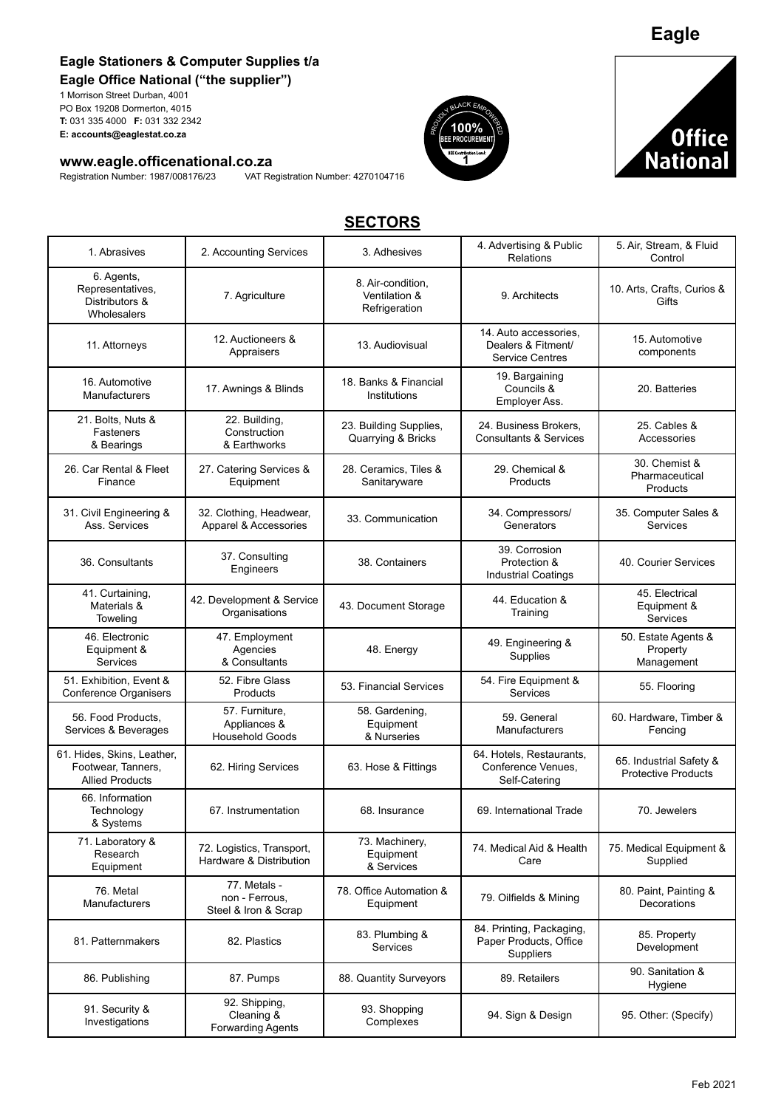## **Eagle Stationers & Computer Supplies t/a Eagle Office National ("the supplier")**

1 Morrison Street Durban, 4001 PO Box 19208 Dormerton, 4015 **T:** 031 335 4000 **F:** 031 332 2342 **PO Box 19208 Dormerton, 4015**<br>**T:** 031 335 4000 **F**: 031 332 2342<br>**E: accounts@eaglestat.co.za** PROUDLY BLACK EXPOWERENT

# **www.eagle.officenational.co.za**<br>Registration Number: 1987/008176/23 VAT Re

VAT Registration Number: 4270104716





# **SECTORS**

| 1. Abrasives                                                               | 2. Accounting Services                                   | 3. Adhesives                                        | 4. Advertising & Public<br>Relations                                   | 5. Air, Stream, & Fluid<br>Control                    |
|----------------------------------------------------------------------------|----------------------------------------------------------|-----------------------------------------------------|------------------------------------------------------------------------|-------------------------------------------------------|
| 6. Agents,<br>Representatives,<br>Distributors &<br>Wholesalers            | 7. Agriculture                                           | 8. Air-condition,<br>Ventilation &<br>Refrigeration | 9. Architects                                                          | 10. Arts, Crafts, Curios &<br>Gifts                   |
| 11. Attorneys                                                              | 12. Auctioneers &<br>Appraisers                          | 13. Audiovisual                                     | 14. Auto accessories,<br>Dealers & Fitment/<br><b>Service Centres</b>  | 15. Automotive<br>components                          |
| 16. Automotive<br>Manufacturers                                            | 17. Awnings & Blinds                                     | 18. Banks & Financial<br>Institutions               | 19. Bargaining<br>Councils &<br>Employer Ass.                          | 20. Batteries                                         |
| 21. Bolts, Nuts &<br>Fasteners<br>& Bearings                               | 22. Building,<br>Construction<br>& Earthworks            | 23. Building Supplies,<br>Quarrying & Bricks        | 24. Business Brokers,<br><b>Consultants &amp; Services</b>             | 25. Cables &<br>Accessories                           |
| 26. Car Rental & Fleet<br>Finance                                          | 27. Catering Services &<br>Equipment                     | 28. Ceramics, Tiles &<br>Sanitaryware               | 29. Chemical &<br>Products                                             | 30. Chemist &<br>Pharmaceutical<br>Products           |
| 31. Civil Engineering &<br>Ass. Services                                   | 32. Clothing, Headwear,<br>Apparel & Accessories         | 33. Communication                                   | 34. Compressors/<br>Generators                                         | 35. Computer Sales &<br>Services                      |
| 36. Consultants                                                            | 37. Consulting<br>Engineers                              | 38. Containers                                      | 39. Corrosion<br>Protection &<br><b>Industrial Coatings</b>            | 40. Courier Services                                  |
| 41. Curtaining,<br>Materials &<br>Toweling                                 | 42. Development & Service<br>Organisations               | 43. Document Storage                                | 44. Education &<br>Training                                            | 45. Electrical<br>Equipment &<br>Services             |
| 46. Electronic<br>Equipment &<br>Services                                  | 47. Employment<br>Agencies<br>& Consultants              | 48. Energy                                          | 49. Engineering &<br>Supplies                                          | 50. Estate Agents &<br>Property<br>Management         |
| 51. Exhibition, Event &<br>Conference Organisers                           | 52. Fibre Glass<br>Products                              | 53. Financial Services                              | 54. Fire Equipment &<br>Services                                       | 55. Flooring                                          |
| 56. Food Products.<br>Services & Beverages                                 | 57. Furniture,<br>Appliances &<br><b>Household Goods</b> | 58. Gardening,<br>Equipment<br>& Nurseries          | 59. General<br>Manufacturers                                           | 60. Hardware, Timber &<br>Fencing                     |
| 61. Hides, Skins, Leather,<br>Footwear, Tanners,<br><b>Allied Products</b> | 62. Hiring Services                                      | 63. Hose & Fittings                                 | 64. Hotels, Restaurants,<br>Conference Venues,<br>Self-Catering        | 65. Industrial Safety &<br><b>Protective Products</b> |
| 66. Information<br>Technology<br>& Systems                                 | 67. Instrumentation                                      | 68. Insurance                                       | 69. International Trade                                                | 70. Jewelers                                          |
| 71. Laboratory &<br>Research<br>Equipment                                  | 72. Logistics, Transport,<br>Hardware & Distribution     | 73. Machinery,<br>Equipment<br>& Services           | 74. Medical Aid & Health<br>Care                                       | 75. Medical Equipment &<br>Supplied                   |
| 76. Metal<br>Manufacturers                                                 | 77. Metals -<br>non - Ferrous,<br>Steel & Iron & Scrap   | 78. Office Automation &<br>Equipment                | 79. Oilfields & Mining                                                 | 80. Paint, Painting &<br>Decorations                  |
| 81. Patternmakers                                                          | 82. Plastics                                             | 83. Plumbing &<br>Services                          | 84. Printing, Packaging,<br>Paper Products, Office<br><b>Suppliers</b> | 85. Property<br>Development                           |
| 86. Publishing                                                             | 87. Pumps                                                | 88. Quantity Surveyors                              | 89. Retailers                                                          | 90. Sanitation &<br>Hygiene                           |
| 91. Security &<br>Investigations                                           | 92. Shipping,<br>Cleaning &<br><b>Forwarding Agents</b>  | 93. Shopping<br>Complexes                           | 94. Sign & Design                                                      | 95. Other: (Specify)                                  |

**Eagle**